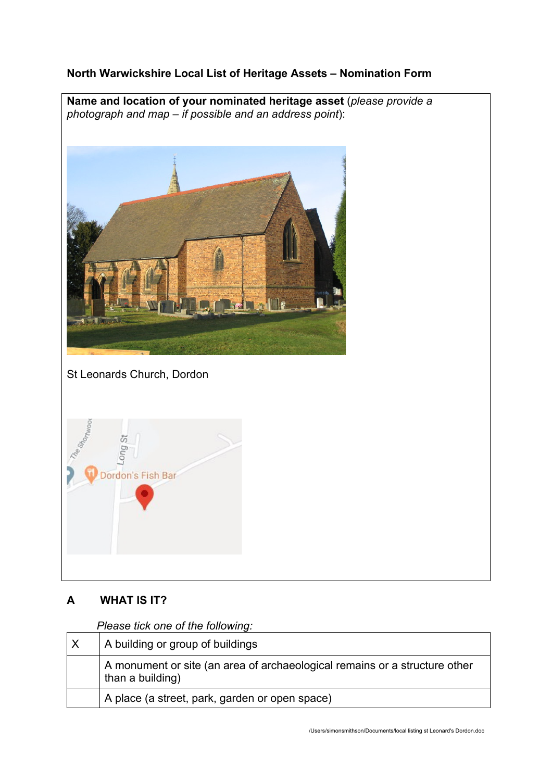## **North Warwickshire Local List of Heritage Assets – Nomination Form**

**Name and location of your nominated heritage asset** (*please provide a photograph and map – if possible and an address point*):



St Leonards Church, Dordon



# **A WHAT IS IT?**

*Please tick one of the following:*

| A building or group of buildings                                                               |
|------------------------------------------------------------------------------------------------|
| A monument or site (an area of archaeological remains or a structure other<br>than a building) |
| A place (a street, park, garden or open space)                                                 |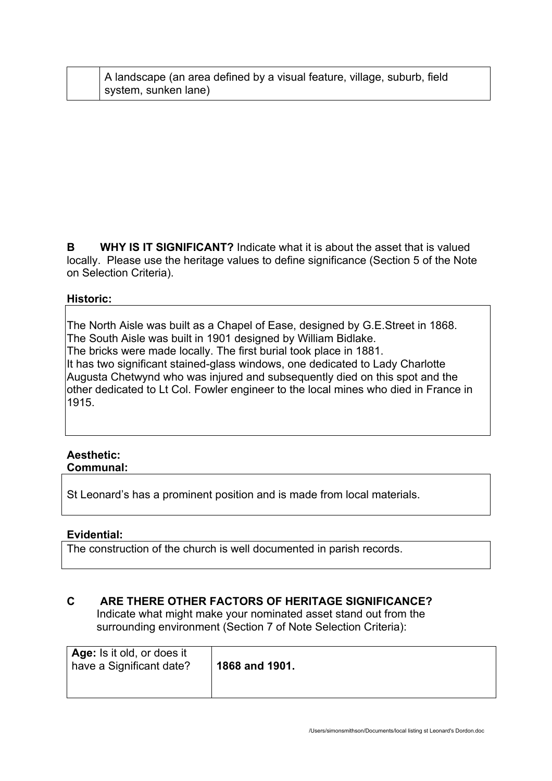| A landscape (an area defined by a visual feature, village, suburb, field |
|--------------------------------------------------------------------------|
| system, sunken lane)                                                     |

**B WHY IS IT SIGNIFICANT?** Indicate what it is about the asset that is valued locally. Please use the heritage values to define significance (Section 5 of the Note on Selection Criteria).

### **Historic:**

The North Aisle was built as a Chapel of Ease, designed by G.E.Street in 1868. The South Aisle was built in 1901 designed by William Bidlake. The bricks were made locally. The first burial took place in 1881. It has two significant stained-glass windows, one dedicated to Lady Charlotte Augusta Chetwynd who was injured and subsequently died on this spot and the other dedicated to Lt Col. Fowler engineer to the local mines who died in France in 1915.

#### **Aesthetic: Communal:**

St Leonard's has a prominent position and is made from local materials.

### **Evidential:**

The construction of the church is well documented in parish records.

## **C ARE THERE OTHER FACTORS OF HERITAGE SIGNIFICANCE?**

Indicate what might make your nominated asset stand out from the surrounding environment (Section 7 of Note Selection Criteria):

| Age: Is it old, or does it<br>have a Significant date? | 1868 and 1901. |
|--------------------------------------------------------|----------------|
|--------------------------------------------------------|----------------|